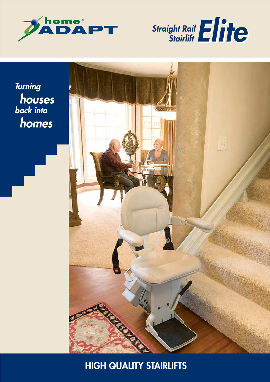



**Turning** houses<br>back into homes



HIGH QUALITY STAIRLIFTS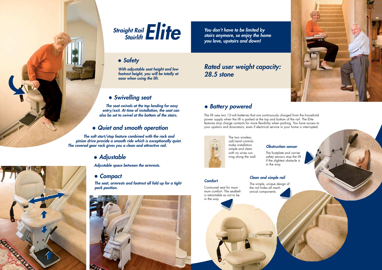*The seat swivels at the top landing for easy entry/exit. At time of installation, the seat can also be set to swivel at the bottom of the stairs.*

*Adjustable space between the armrests.*

### *Obstruction sensor*

 *The soft start/stop feature combined with the rack and <sup>p</sup>inion drive provide a smooth ride which is exceptionally quiet. The covered gear rack gives you a clean and attractive rail.*

> *The seat, armrests and footrest all fold up for a tight park position.*



*With adjustable seat height and low footrest height, you will be totally at ease when using the lift.*

# Straight Rail Elite

### *Safety*

### *Swivelling seat*

# *Rated user weight capacity: 28.5 stone*

## *Adjustable*

### *Battery powered*

### *Quiet and smooth operation*

### *Compact*

# *Comfort Clean and simple rail* The simple, unique design of

*You don't have to be limited by stairs anymore, so enjoy the home you love, upstairs and down!* 

The lift uses two 12-volt batteries that are continuously charged from the household power supply when the lift is parked at the top and bottom of the rail. The Elite features strip charge contacts for more flexibility when parking. You have access to your upstairs and downstairs, even if electrical service in your home is interrupted.



Contoured seat for maximum comfort. The seatbelt is retractable as not to be in the way.

the rail hides all mechanical components.





The footplate and carrier safety sensors stop the lift if the slightest obstacle is in the way.

The two wireless call/send controls make installation simple and clean with no wires running along the wall.